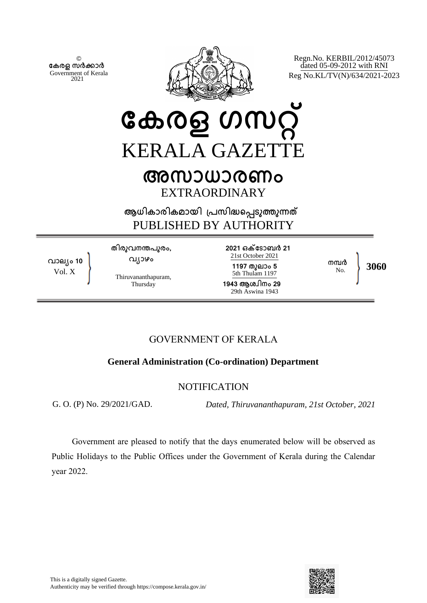© **േകരള സർകാർ** Government of Kerala 2021



Regn.No. KERBIL/2012/45073 dated 05-09-2012 with RNI Reg No.KL/TV(N)/634/2021-2023

# **േകരള ഗസറ്** KERALA GAZETT **അസാധാരണം**

EXTRAORDINARY

**ആധികാരികമായി ്പസിദെപടുതുനത** PUBLISHED BY AUTHORITY

**വാല്ം 10** Vol. X

**തിരുവനനപുരം, വ്ാഴം**

Thiruvananthapuram, Thursday

**2021 ഒകേടാബർ 21** 21st October 2021 **1197 തുലാം 5** 5th Thulam 1197 **1943 ആശ്ിനം 29** 29th Aswina 1943

**നമ്പ**ർ<br>No

No. **3060**

## GOVERNMENT OF KERALA

### **General Administration (Co-ordination) Department**

#### NOTIFICATION

G. O. (P) No. 29/2021/GAD. *Dated, Thiruvananthapuram, 21st October, 2021*

Government are pleased to notify that the days enumerated below will be observed as Public Holidays to the Public Offices under the Government of Kerala during the Calendar year 2022.

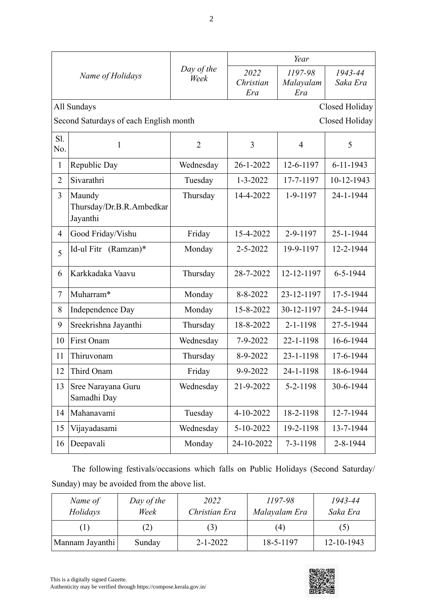| Name of Holidays |                                                          |                    | Year                     |                             |                     |  |
|------------------|----------------------------------------------------------|--------------------|--------------------------|-----------------------------|---------------------|--|
|                  |                                                          | Day of the<br>Week | 2022<br>Christian<br>Era | 1197-98<br>Malayalam<br>Era | 1943-44<br>Saka Era |  |
|                  | All Sundays<br>Closed Holiday                            |                    |                          |                             |                     |  |
|                  | Second Saturdays of each English month<br>Closed Holiday |                    |                          |                             |                     |  |
| S1.<br>No.       | $\mathbf{1}$                                             | $\overline{2}$     | 3                        | $\overline{4}$              | 5                   |  |
| 1                | Republic Day                                             | Wednesday          | 26-1-2022                | 12-6-1197                   | $6 - 11 - 1943$     |  |
| $\overline{2}$   | Sivarathri                                               | Tuesday            | $1 - 3 - 2022$           | 17-7-1197                   | 10-12-1943          |  |
| 3                | Maundy<br>Thursday/Dr.B.R.Ambedkar<br>Jayanthi           | Thursday           | 14-4-2022                | 1-9-1197                    | 24-1-1944           |  |
| $\overline{4}$   | Good Friday/Vishu                                        | Friday             | 15-4-2022                | 2-9-1197                    | 25-1-1944           |  |
| 5                | Id-ul Fitr (Ramzan)*                                     | Monday             | $2 - 5 - 2022$           | 19-9-1197                   | 12-2-1944           |  |
| 6                | Karkkadaka Vaavu                                         | Thursday           | 28-7-2022                | 12-12-1197                  | $6 - 5 - 1944$      |  |
| $\tau$           | Muharram*                                                | Monday             | 8-8-2022                 | 23-12-1197                  | 17-5-1944           |  |
| 8                | Independence Day                                         | Monday             | 15-8-2022                | 30-12-1197                  | 24-5-1944           |  |
| 9                | Sreekrishna Jayanthi                                     | Thursday           | 18-8-2022                | $2 - 1 - 1198$              | 27-5-1944           |  |
| 10               | First Onam                                               | Wednesday          | 7-9-2022                 | 22-1-1198                   | 16-6-1944           |  |
| 11               | Thiruvonam                                               | Thursday           | 8-9-2022                 | 23-1-1198                   | 17-6-1944           |  |
| 12               | Third Onam                                               | Friday             | 9-9-2022                 | 24-1-1198                   | 18-6-1944           |  |
| 13               | Sree Narayana Guru<br>Samadhi Day                        | Wednesday          | 21-9-2022                | 5-2-1198                    | 30-6-1944           |  |
| 14               | Mahanavami                                               | Tuesday            | 4-10-2022                | 18-2-1198                   | 12-7-1944           |  |
| 15               | Vijayadasami                                             | Wednesday          | 5-10-2022                | 19-2-1198                   | 13-7-1944           |  |
| 16               | Deepavali                                                | Monday             | 24-10-2022               | $7 - 3 - 1198$              | 2-8-1944            |  |

The following festivals/occasions which falls on Public Holidays (Second Saturday/ Sunday) may be avoided from the above list.

| Name of<br>Holidays | Day of the<br>Week | 2022<br>Christian Era | 1197-98<br>Malayalam Era | 1943-44<br>Saka Era |
|---------------------|--------------------|-----------------------|--------------------------|---------------------|
| $\perp$             | (2)                | (3)                   | (4)                      | (5)                 |
| Mannam Jayanthi     | Sunday             | $2 - 1 - 2022$        | 18-5-1197                | 12-10-1943          |